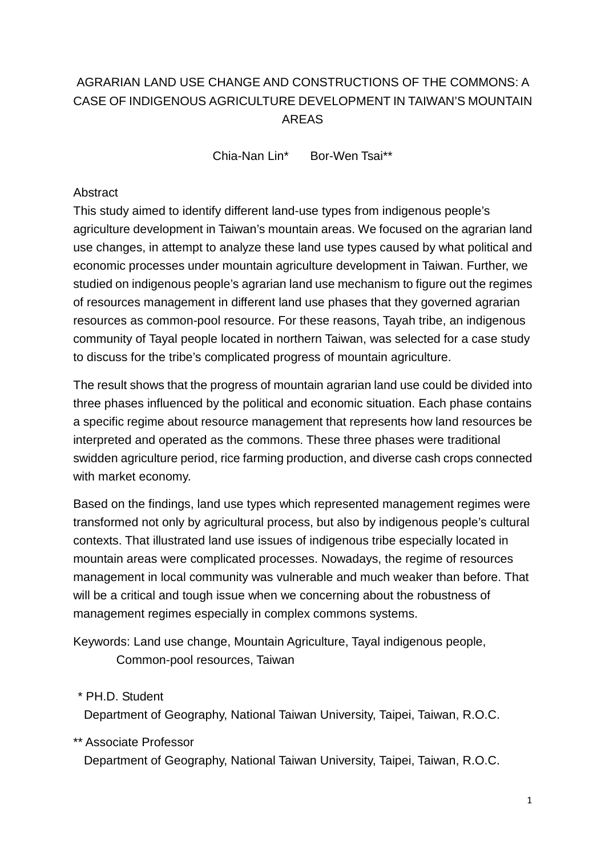# AGRARIAN LAND USE CHANGE AND CONSTRUCTIONS OF THE COMMONS: A CASE OF INDIGENOUS AGRICULTURE DEVELOPMENT IN TAIWAN'S MOUNTAIN AREAS

Chia-Nan Lin\* Bor-Wen Tsai\*\*

#### **Abstract**

This study aimed to identify different land-use types from indigenous people's agriculture development in Taiwan's mountain areas. We focused on the agrarian land use changes, in attempt to analyze these land use types caused by what political and economic processes under mountain agriculture development in Taiwan. Further, we studied on indigenous people's agrarian land use mechanism to figure out the regimes of resources management in different land use phases that they governed agrarian resources as common-pool resource. For these reasons, Tayah tribe, an indigenous community of Tayal people located in northern Taiwan, was selected for a case study to discuss for the tribe's complicated progress of mountain agriculture.

The result shows that the progress of mountain agrarian land use could be divided into three phases influenced by the political and economic situation. Each phase contains a specific regime about resource management that represents how land resources be interpreted and operated as the commons. These three phases were traditional swidden agriculture period, rice farming production, and diverse cash crops connected with market economy.

Based on the findings, land use types which represented management regimes were transformed not only by agricultural process, but also by indigenous people's cultural contexts. That illustrated land use issues of indigenous tribe especially located in mountain areas were complicated processes. Nowadays, the regime of resources management in local community was vulnerable and much weaker than before. That will be a critical and tough issue when we concerning about the robustness of management regimes especially in complex commons systems.

Keywords: Land use change, Mountain Agriculture, Tayal indigenous people, Common-pool resources, Taiwan

\* PH.D. Student

Department of Geography, National Taiwan University, Taipei, Taiwan, R.O.C.

\*\* Associate Professor

Department of Geography, National Taiwan University, Taipei, Taiwan, R.O.C.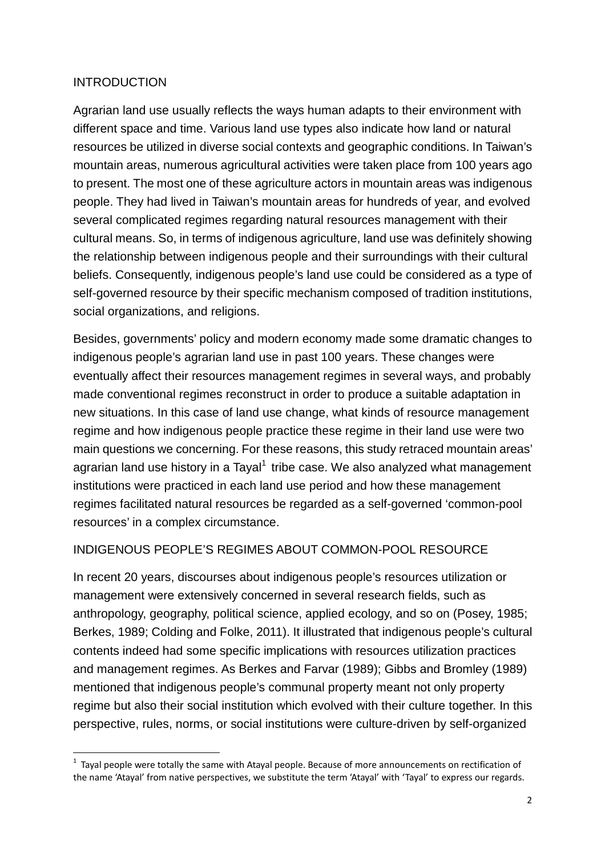## INTRODUCTION

 $\overline{a}$ 

Agrarian land use usually reflects the ways human adapts to their environment with different space and time. Various land use types also indicate how land or natural resources be utilized in diverse social contexts and geographic conditions. In Taiwan's mountain areas, numerous agricultural activities were taken place from 100 years ago to present. The most one of these agriculture actors in mountain areas was indigenous people. They had lived in Taiwan's mountain areas for hundreds of year, and evolved several complicated regimes regarding natural resources management with their cultural means. So, in terms of indigenous agriculture, land use was definitely showing the relationship between indigenous people and their surroundings with their cultural beliefs. Consequently, indigenous people's land use could be considered as a type of self-governed resource by their specific mechanism composed of tradition institutions, social organizations, and religions.

Besides, governments' policy and modern economy made some dramatic changes to indigenous people's agrarian land use in past 100 years. These changes were eventually affect their resources management regimes in several ways, and probably made conventional regimes reconstruct in order to produce a suitable adaptation in new situations. In this case of land use change, what kinds of resource management regime and how indigenous people practice these regime in their land use were two main questions we concerning. For these reasons, this study retraced mountain areas' agrarian land use history in a Tayal $^1$  tribe case. We also analyzed what management institutions were practiced in each land use period and how these management regimes facilitated natural resources be regarded as a self-governed 'common-pool resources' in a complex circumstance.

#### INDIGENOUS PEOPLE'S REGIMES ABOUT COMMON-POOL RESOURCE

In recent 20 years, discourses about indigenous people's resources utilization or management were extensively concerned in several research fields, such as anthropology, geography, political science, applied ecology, and so on (Posey, 1985; Berkes, 1989; Colding and Folke, 2011). It illustrated that indigenous people's cultural contents indeed had some specific implications with resources utilization practices and management regimes. As Berkes and Farvar (1989); Gibbs and Bromley (1989) mentioned that indigenous people's communal property meant not only property regime but also their social institution which evolved with their culture together. In this perspective, rules, norms, or social institutions were culture-driven by self-organized

 $<sup>1</sup>$  Tayal people were totally the same with Atayal people. Because of more announcements on rectification of</sup> the name 'Atayal' from native perspectives, we substitute the term 'Atayal' with 'Tayal' to express our regards.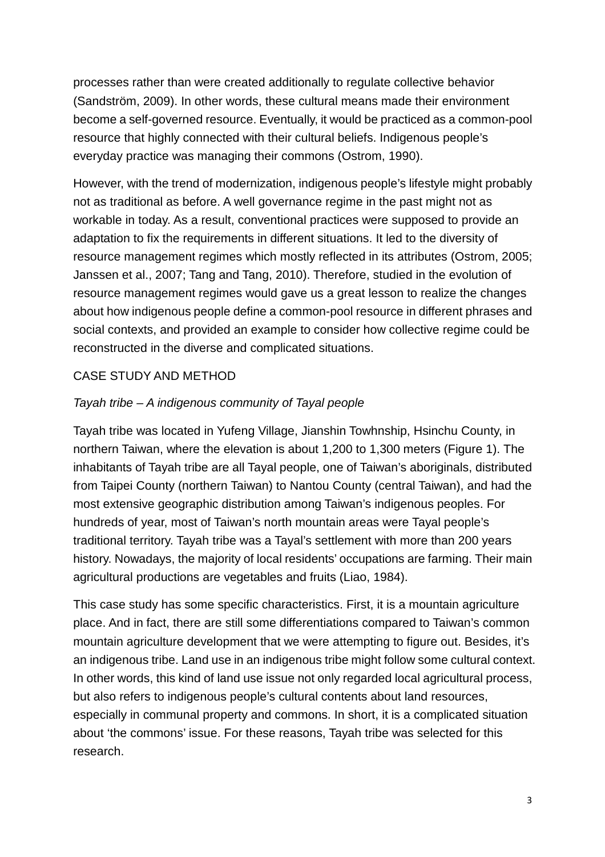processes rather than were created additionally to regulate collective behavior (Sandström, 2009). In other words, these cultural means made their environment become a self-governed resource. Eventually, it would be practiced as a common-pool resource that highly connected with their cultural beliefs. Indigenous people's everyday practice was managing their commons (Ostrom, 1990).

However, with the trend of modernization, indigenous people's lifestyle might probably not as traditional as before. A well governance regime in the past might not as workable in today. As a result, conventional practices were supposed to provide an adaptation to fix the requirements in different situations. It led to the diversity of resource management regimes which mostly reflected in its attributes (Ostrom, 2005; Janssen et al., 2007; Tang and Tang, 2010). Therefore, studied in the evolution of resource management regimes would gave us a great lesson to realize the changes about how indigenous people define a common-pool resource in different phrases and social contexts, and provided an example to consider how collective regime could be reconstructed in the diverse and complicated situations.

## CASE STUDY AND METHOD

#### Tayah tribe – A indigenous community of Tayal people

Tayah tribe was located in Yufeng Village, Jianshin Towhnship, Hsinchu County, in northern Taiwan, where the elevation is about 1,200 to 1,300 meters (Figure 1). The inhabitants of Tayah tribe are all Tayal people, one of Taiwan's aboriginals, distributed from Taipei County (northern Taiwan) to Nantou County (central Taiwan), and had the most extensive geographic distribution among Taiwan's indigenous peoples. For hundreds of year, most of Taiwan's north mountain areas were Tayal people's traditional territory. Tayah tribe was a Tayal's settlement with more than 200 years history. Nowadays, the majority of local residents' occupations are farming. Their main agricultural productions are vegetables and fruits (Liao, 1984).

This case study has some specific characteristics. First, it is a mountain agriculture place. And in fact, there are still some differentiations compared to Taiwan's common mountain agriculture development that we were attempting to figure out. Besides, it's an indigenous tribe. Land use in an indigenous tribe might follow some cultural context. In other words, this kind of land use issue not only regarded local agricultural process, but also refers to indigenous people's cultural contents about land resources, especially in communal property and commons. In short, it is a complicated situation about 'the commons' issue. For these reasons, Tayah tribe was selected for this research.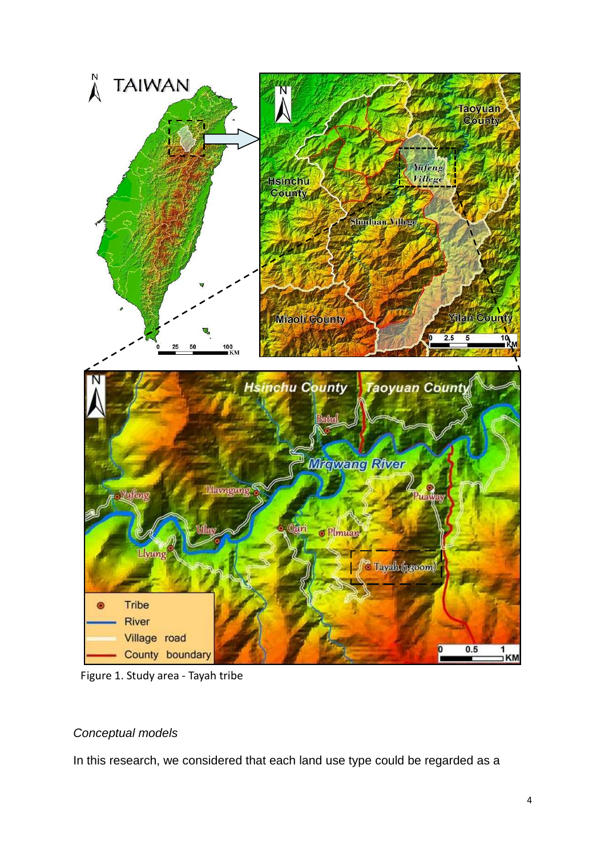

Figure 1. Study area - Tayah tribe

# Conceptual models

In this research, we considered that each land use type could be regarded as a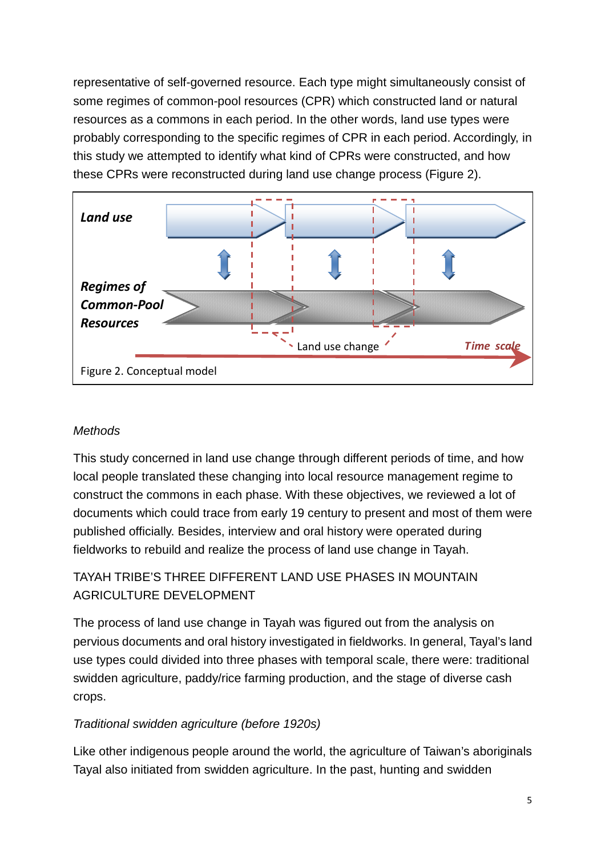representative of self-governed resource. Each type might simultaneously consist of some regimes of common-pool resources (CPR) which constructed land or natural resources as a commons in each period. In the other words, land use types were probably corresponding to the specific regimes of CPR in each period. Accordingly, in this study we attempted to identify what kind of CPRs were constructed, and how these CPRs were reconstructed during land use change process (Figure 2).



## **Methods**

This study concerned in land use change through different periods of time, and how local people translated these changing into local resource management regime to construct the commons in each phase. With these objectives, we reviewed a lot of documents which could trace from early 19 century to present and most of them were published officially. Besides, interview and oral history were operated during fieldworks to rebuild and realize the process of land use change in Tayah.

# TAYAH TRIBE'S THREE DIFFERENT LAND USE PHASES IN MOUNTAIN AGRICULTURE DEVELOPMENT

The process of land use change in Tayah was figured out from the analysis on pervious documents and oral history investigated in fieldworks. In general, Tayal's land use types could divided into three phases with temporal scale, there were: traditional swidden agriculture, paddy/rice farming production, and the stage of diverse cash crops.

# Traditional swidden agriculture (before 1920s)

Like other indigenous people around the world, the agriculture of Taiwan's aboriginals Tayal also initiated from swidden agriculture. In the past, hunting and swidden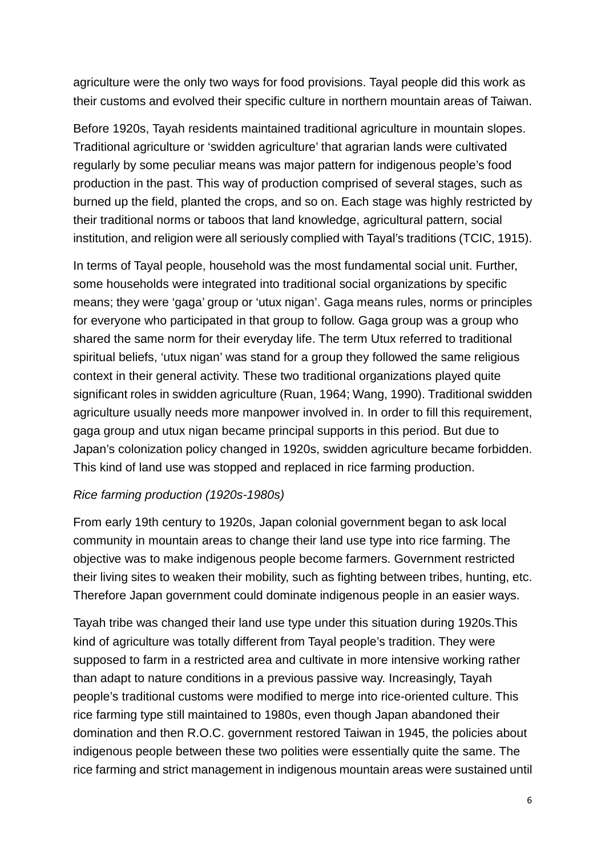agriculture were the only two ways for food provisions. Tayal people did this work as their customs and evolved their specific culture in northern mountain areas of Taiwan.

Before 1920s, Tayah residents maintained traditional agriculture in mountain slopes. Traditional agriculture or 'swidden agriculture' that agrarian lands were cultivated regularly by some peculiar means was major pattern for indigenous people's food production in the past. This way of production comprised of several stages, such as burned up the field, planted the crops, and so on. Each stage was highly restricted by their traditional norms or taboos that land knowledge, agricultural pattern, social institution, and religion were all seriously complied with Tayal's traditions (TCIC, 1915).

In terms of Tayal people, household was the most fundamental social unit. Further, some households were integrated into traditional social organizations by specific means; they were 'gaga' group or 'utux nigan'. Gaga means rules, norms or principles for everyone who participated in that group to follow. Gaga group was a group who shared the same norm for their everyday life. The term Utux referred to traditional spiritual beliefs, 'utux nigan' was stand for a group they followed the same religious context in their general activity. These two traditional organizations played quite significant roles in swidden agriculture (Ruan, 1964; Wang, 1990). Traditional swidden agriculture usually needs more manpower involved in. In order to fill this requirement, gaga group and utux nigan became principal supports in this period. But due to Japan's colonization policy changed in 1920s, swidden agriculture became forbidden. This kind of land use was stopped and replaced in rice farming production.

## Rice farming production (1920s-1980s)

From early 19th century to 1920s, Japan colonial government began to ask local community in mountain areas to change their land use type into rice farming. The objective was to make indigenous people become farmers. Government restricted their living sites to weaken their mobility, such as fighting between tribes, hunting, etc. Therefore Japan government could dominate indigenous people in an easier ways.

Tayah tribe was changed their land use type under this situation during 1920s.This kind of agriculture was totally different from Tayal people's tradition. They were supposed to farm in a restricted area and cultivate in more intensive working rather than adapt to nature conditions in a previous passive way. Increasingly, Tayah people's traditional customs were modified to merge into rice-oriented culture. This rice farming type still maintained to 1980s, even though Japan abandoned their domination and then R.O.C. government restored Taiwan in 1945, the policies about indigenous people between these two polities were essentially quite the same. The rice farming and strict management in indigenous mountain areas were sustained until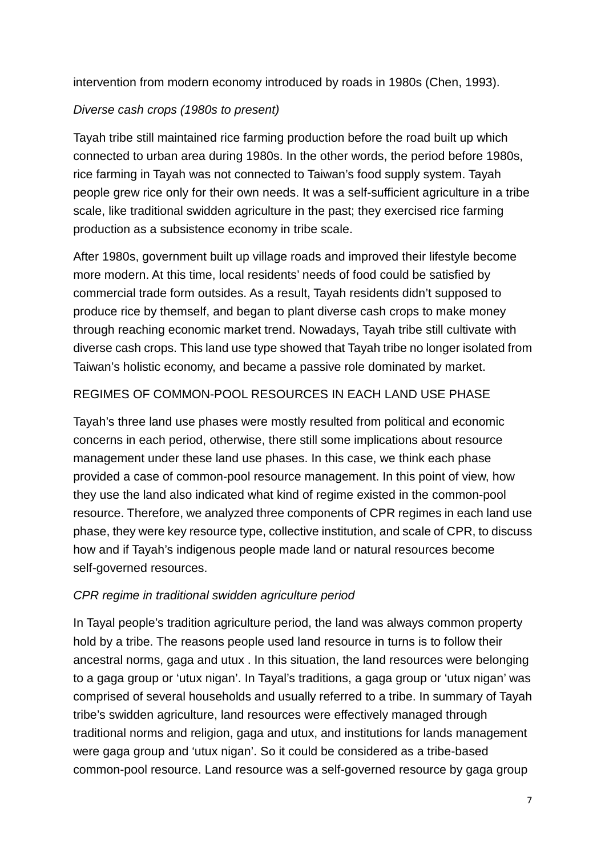intervention from modern economy introduced by roads in 1980s (Chen, 1993).

## Diverse cash crops (1980s to present)

Tayah tribe still maintained rice farming production before the road built up which connected to urban area during 1980s. In the other words, the period before 1980s, rice farming in Tayah was not connected to Taiwan's food supply system. Tayah people grew rice only for their own needs. It was a self-sufficient agriculture in a tribe scale, like traditional swidden agriculture in the past; they exercised rice farming production as a subsistence economy in tribe scale.

After 1980s, government built up village roads and improved their lifestyle become more modern. At this time, local residents' needs of food could be satisfied by commercial trade form outsides. As a result, Tayah residents didn't supposed to produce rice by themself, and began to plant diverse cash crops to make money through reaching economic market trend. Nowadays, Tayah tribe still cultivate with diverse cash crops. This land use type showed that Tayah tribe no longer isolated from Taiwan's holistic economy, and became a passive role dominated by market.

## REGIMES OF COMMON-POOL RESOURCES IN EACH LAND USE PHASE

Tayah's three land use phases were mostly resulted from political and economic concerns in each period, otherwise, there still some implications about resource management under these land use phases. In this case, we think each phase provided a case of common-pool resource management. In this point of view, how they use the land also indicated what kind of regime existed in the common-pool resource. Therefore, we analyzed three components of CPR regimes in each land use phase, they were key resource type, collective institution, and scale of CPR, to discuss how and if Tayah's indigenous people made land or natural resources become self-governed resources.

## CPR regime in traditional swidden agriculture period

In Tayal people's tradition agriculture period, the land was always common property hold by a tribe. The reasons people used land resource in turns is to follow their ancestral norms, gaga and utux . In this situation, the land resources were belonging to a gaga group or 'utux nigan'. In Tayal's traditions, a gaga group or 'utux nigan' was comprised of several households and usually referred to a tribe. In summary of Tayah tribe's swidden agriculture, land resources were effectively managed through traditional norms and religion, gaga and utux, and institutions for lands management were gaga group and 'utux nigan'. So it could be considered as a tribe-based common-pool resource. Land resource was a self-governed resource by gaga group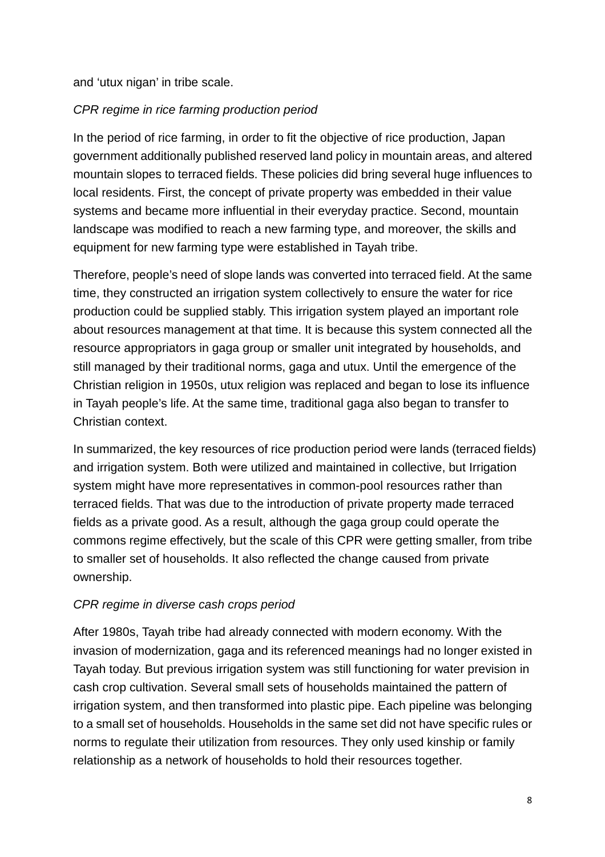and 'utux nigan' in tribe scale.

## CPR regime in rice farming production period

In the period of rice farming, in order to fit the objective of rice production, Japan government additionally published reserved land policy in mountain areas, and altered mountain slopes to terraced fields. These policies did bring several huge influences to local residents. First, the concept of private property was embedded in their value systems and became more influential in their everyday practice. Second, mountain landscape was modified to reach a new farming type, and moreover, the skills and equipment for new farming type were established in Tayah tribe.

Therefore, people's need of slope lands was converted into terraced field. At the same time, they constructed an irrigation system collectively to ensure the water for rice production could be supplied stably. This irrigation system played an important role about resources management at that time. It is because this system connected all the resource appropriators in gaga group or smaller unit integrated by households, and still managed by their traditional norms, gaga and utux. Until the emergence of the Christian religion in 1950s, utux religion was replaced and began to lose its influence in Tayah people's life. At the same time, traditional gaga also began to transfer to Christian context.

In summarized, the key resources of rice production period were lands (terraced fields) and irrigation system. Both were utilized and maintained in collective, but Irrigation system might have more representatives in common-pool resources rather than terraced fields. That was due to the introduction of private property made terraced fields as a private good. As a result, although the gaga group could operate the commons regime effectively, but the scale of this CPR were getting smaller, from tribe to smaller set of households. It also reflected the change caused from private ownership.

# CPR regime in diverse cash crops period

After 1980s, Tayah tribe had already connected with modern economy. With the invasion of modernization, gaga and its referenced meanings had no longer existed in Tayah today. But previous irrigation system was still functioning for water prevision in cash crop cultivation. Several small sets of households maintained the pattern of irrigation system, and then transformed into plastic pipe. Each pipeline was belonging to a small set of households. Households in the same set did not have specific rules or norms to regulate their utilization from resources. They only used kinship or family relationship as a network of households to hold their resources together.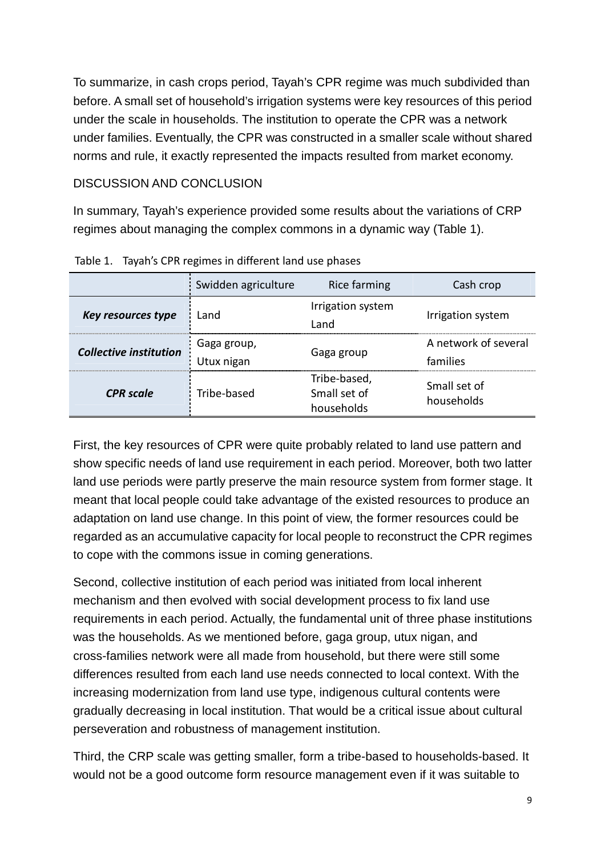To summarize, in cash crops period, Tayah's CPR regime was much subdivided than before. A small set of household's irrigation systems were key resources of this period under the scale in households. The institution to operate the CPR was a network under families. Eventually, the CPR was constructed in a smaller scale without shared norms and rule, it exactly represented the impacts resulted from market economy.

#### DISCUSSION AND CONCLUSION

In summary, Tayah's experience provided some results about the variations of CRP regimes about managing the complex commons in a dynamic way (Table 1).

|                        | Swidden agriculture       | Rice farming                               | Cash crop                        |
|------------------------|---------------------------|--------------------------------------------|----------------------------------|
| Key resources type     | Land                      | Irrigation system<br>Land                  | Irrigation system                |
| Collective institution | Gaga group,<br>Utux nigan | Gaga group                                 | A network of several<br>families |
| <b>CPR</b> scale       | Tribe-based               | Tribe-based,<br>Small set of<br>households | Small set of<br>households       |

Table 1. Tayah's CPR regimes in different land use phases

First, the key resources of CPR were quite probably related to land use pattern and show specific needs of land use requirement in each period. Moreover, both two latter land use periods were partly preserve the main resource system from former stage. It meant that local people could take advantage of the existed resources to produce an adaptation on land use change. In this point of view, the former resources could be regarded as an accumulative capacity for local people to reconstruct the CPR regimes to cope with the commons issue in coming generations.

Second, collective institution of each period was initiated from local inherent mechanism and then evolved with social development process to fix land use requirements in each period. Actually, the fundamental unit of three phase institutions was the households. As we mentioned before, gaga group, utux nigan, and cross-families network were all made from household, but there were still some differences resulted from each land use needs connected to local context. With the increasing modernization from land use type, indigenous cultural contents were gradually decreasing in local institution. That would be a critical issue about cultural perseveration and robustness of management institution.

Third, the CRP scale was getting smaller, form a tribe-based to households-based. It would not be a good outcome form resource management even if it was suitable to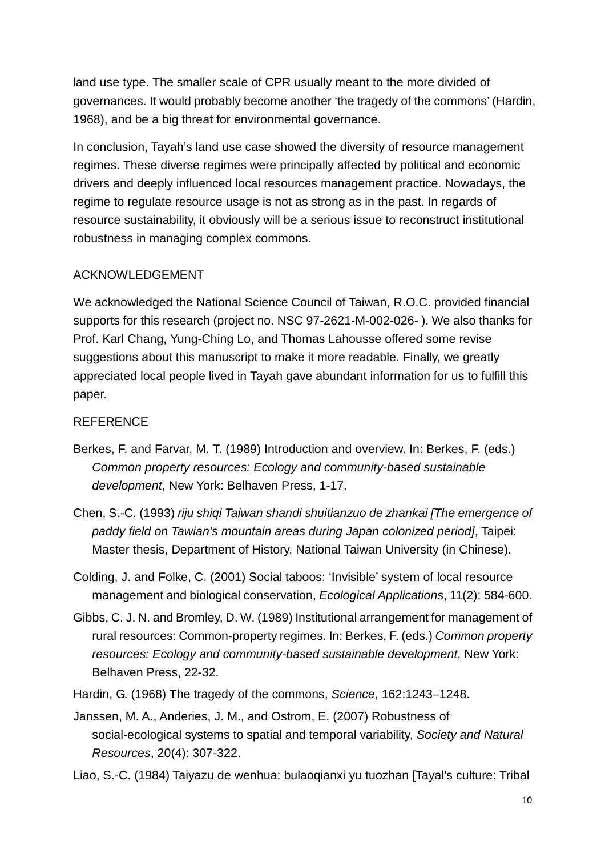land use type. The smaller scale of CPR usually meant to the more divided of governances. It would probably become another 'the tragedy of the commons' (Hardin, 1968), and be a big threat for environmental governance.

In conclusion, Tayah's land use case showed the diversity of resource management regimes. These diverse regimes were principally affected by political and economic drivers and deeply influenced local resources management practice. Nowadays, the regime to regulate resource usage is not as strong as in the past. In regards of resource sustainability, it obviously will be a serious issue to reconstruct institutional robustness in managing complex commons.

## ACKNOWLEDGEMENT

We acknowledged the National Science Council of Taiwan, R.O.C. provided financial supports for this research (project no. NSC 97-2621-M-002-026- ). We also thanks for Prof. Karl Chang, Yung-Ching Lo, and Thomas Lahousse offered some revise suggestions about this manuscript to make it more readable. Finally, we greatly appreciated local people lived in Tayah gave abundant information for us to fulfill this paper.

# REFERENCE

- Berkes, F. and Farvar, M. T. (1989) Introduction and overview. In: Berkes, F. (eds.) Common property resources: Ecology and community-based sustainable development, New York: Belhaven Press, 1-17.
- Chen, S.-C. (1993) riju shiqi Taiwan shandi shuitianzuo de zhankai [The emergence of paddy field on Tawian's mountain areas during Japan colonized period], Taipei: Master thesis, Department of History, National Taiwan University (in Chinese).
- Colding, J. and Folke, C. (2001) Social taboos: 'Invisible' system of local resource management and biological conservation, Ecological Applications, 11(2): 584-600.
- Gibbs, C. J. N. and Bromley, D. W. (1989) Institutional arrangement for management of rural resources: Common-property regimes. In: Berkes, F. (eds.) Common property resources: Ecology and community-based sustainable development, New York: Belhaven Press, 22-32.
- Hardin, G. (1968) The tragedy of the commons, Science, 162:1243–1248.
- Janssen, M. A., Anderies, J. M., and Ostrom, E. (2007) Robustness of social-ecological systems to spatial and temporal variability, Society and Natural Resources, 20(4): 307-322.

Liao, S.-C. (1984) Taiyazu de wenhua: bulaoqianxi yu tuozhan [Tayal's culture: Tribal